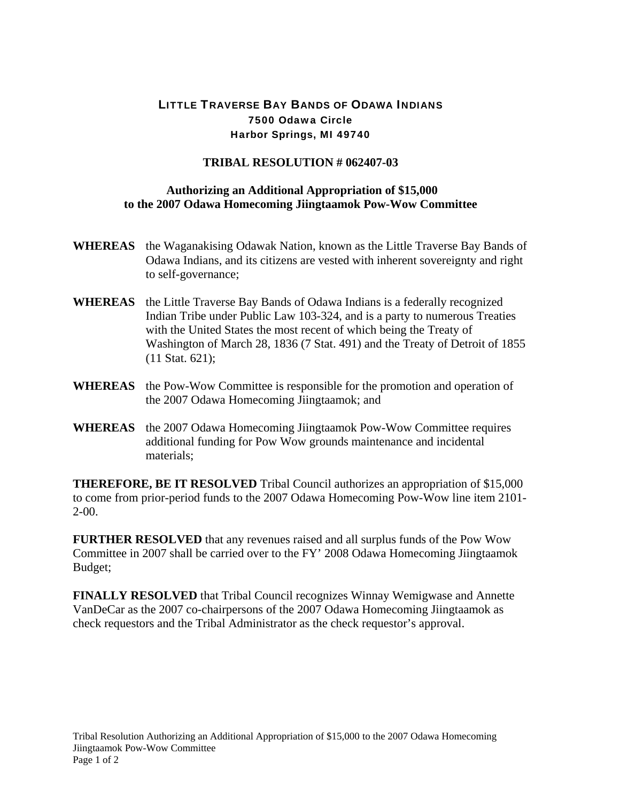## LITTLE TRAVERSE BAY BANDS OF ODAWA INDIANS 7500 Odawa Circle Harbor Springs, MI 49740

## **TRIBAL RESOLUTION # 062407-03**

## **Authorizing an Additional Appropriation of \$15,000 to the 2007 Odawa Homecoming Jiingtaamok Pow-Wow Committee**

- **WHEREAS** the Waganakising Odawak Nation, known as the Little Traverse Bay Bands of Odawa Indians, and its citizens are vested with inherent sovereignty and right to self-governance;
- **WHEREAS** the Little Traverse Bay Bands of Odawa Indians is a federally recognized Indian Tribe under Public Law 103-324, and is a party to numerous Treaties with the United States the most recent of which being the Treaty of Washington of March 28, 1836 (7 Stat. 491) and the Treaty of Detroit of 1855 (11 Stat. 621);
- **WHEREAS** the Pow-Wow Committee is responsible for the promotion and operation of the 2007 Odawa Homecoming Jiingtaamok; and
- **WHEREAS** the 2007 Odawa Homecoming Jiingtaamok Pow-Wow Committee requires additional funding for Pow Wow grounds maintenance and incidental materials;

**THEREFORE, BE IT RESOLVED** Tribal Council authorizes an appropriation of \$15,000 to come from prior-period funds to the 2007 Odawa Homecoming Pow-Wow line item 2101- 2-00.

**FURTHER RESOLVED** that any revenues raised and all surplus funds of the Pow Wow Committee in 2007 shall be carried over to the FY' 2008 Odawa Homecoming Jiingtaamok Budget;

**FINALLY RESOLVED** that Tribal Council recognizes Winnay Wemigwase and Annette VanDeCar as the 2007 co-chairpersons of the 2007 Odawa Homecoming Jiingtaamok as check requestors and the Tribal Administrator as the check requestor's approval.